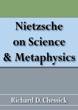# **Nietzsche** on Science & Metaphysics

## **Richard D. Chessick**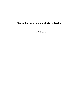### **Nietzsche on Science and Metaphysics**

**Richard D. Chessick**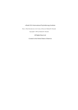#### e-Book 2016 International Psychotherapy Institute

From *A Brief Introduction to the Genius of Nietzsche* Richard D. Chessick

Copy right © 1983 by Richard D. Chessick

All Rights Reserved

Created in the United States of America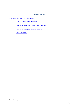#### **Table of Contents**

[NIETZSCHEON](#page-4-0) SCIENCE AND METAPHYSICS

SCENE 1: [DESCARTES](#page-4-1) AND CERTAINTY

SCENE 2: NIETZSCHE AND THE HISTORY OF [PHILOSOPHY](#page-8-0)

SCENE 3: NIETZSCHE, JASPERS, AND [HEIDEGGER1](#page-11-0)

SCENE 4: [CRITICISM](#page-17-0)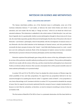#### **NIETZSCHE ON SCIENCE AND METAPHYSICS**

#### **SCENE 1: DESCARTES AND CERTAINTY**

<span id="page-4-1"></span><span id="page-4-0"></span>The famous mind-body problem, one of the thorniest issues in philosophy, arose out of the Cartesian distinction between "I" and matter, or between the mind which thinks and which is not extended, and inert matter like the body or "things out there," which do not think but which have extended substance. This distinction is embedded in the whole notion of *I think therefore I am*, and rises from it logically, but it is questionable whether ancient philosophers thought in those terms at all. At any rate, the mind-body separation greatly influenced all philosophy from the time of Descartes to the time of Nietzsche—and formed a philosophy which fit beautifully with the development of classical science. It was Nietzsche who first called attention to the bankruptcy of classical science, and who predicted that eventually the basic concepts of science, like "atoms"—hard little balls floating around in a void—would turn out to be nothing but constructs. Much of the development of modern science has been consistent with Nietzsche's prescient criticism of Cartesian philosophy and the mind-body dichotomy.

Nietzsche explained that philosophy goes along with the science of the day; philosophers tend to be envious of the particular scientific method prevailing and try to imitate it. They produce philosophies which fit very neatly with the science of the day, and then claim that their philosophies have discovered Truths as veridical as those of science. How accurate a description this is of the pseudo-scientific nature of some academic philosophy as it is practiced today!

In section 530 and 532 of *The Will to Power* he attacked the whole structure of Western logic, the whole possibility of true and false propositions. He argued that any proposition believed to be true cannot be thought of as anything but what he called "a regulative article of belief"; a true proposition is not a form of knowledge at all. Consistent with this in section 551 he proceeded to demolish the concept of cause. Here he argued (as previously explained) that the concept of cause is simply introduced by us because we don't like the unfamiliar, so therefore, we tend to interpret everything in terms of what we are familiar with.

The first section of Book III of *The Will to Power* is a systematic destruction of all the basic beliefs on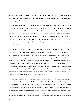which Western science is based. In section 555 he fulminated about what he called the scientific prejudice, "the fable of knowledge"—the idea that the scientific observer studies things that are happening outside of him and learns the truth about them.

He made a statement which has formed the basis of all existential psychotherapy, although to my knowledge no existential psychotherapist ever gave Nietzsche credit for it. He said that coming to know means to place one's self "in a conditional relationship to something; to feel oneself conditioned by something and by oneself to condition it" (p. 301). Knowing is therefore, under all circumstances, "establishing, denoting, and making—conscious of conditions," *not*pursuing "entities, things, what is 'in itself'" (p. 301). In other words, the essence of existential psychotherapy is the emphasis on the mutual interaction and on mutual changes induced in I each; it gets away from the authoritarian gap between the doctor and patient.

In section 578-579 he introduced a topic which might be called the psychology of metaphysics. Nietzsche argued that metaphysics itself has been produced by suffering. The two world theory, the idea of an eternal and unchangeable Real world up in heaven or somewhere, is the production of an exhausted depressed unhappy man. This is a unique approach to metaphysics. It is an attempt to explain the whole notion of Reality on the basis of psychological motivations, and of course it turns around and negates that Eternal World as nothing but a hope or consolation. This is one of the areas in which Nietzsche anticipated Freud. Nietzsche applied this not only to religion butto metaphysics. He also spoke of the *ressentiment* of metaphysicians against actuality; here it is the metaphysicians who are living in relative poverty and Suffering on poor teachers' salaries and not getting their books published who invent these eternal truths and systems to console themselves.

Nietzsche used "value for preservation of species" as the criterion to determine what any given culture decides is true, good, and valuable. Section 584 of *The Will to Power* might be thought of as a summary of Nietzsche's entire epistemology, and in section 594 he wrote more specifically about science. Nietzsche was one of the first philosophers to call attention to the roots of science—these basic premises of science which had been accepted up to his time as absolutely true. He argued that science is nothing but an attempt to make temporary sense out of chaos. It imposes a schema on the chaos of our everyday appearance; in section 597 he labeled the prejudicial presuppositions of scientific work to be the belief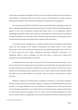in the unity and perpetuity of scientific work. Here he had in mind the scientific worker who spends his whole lifetime on studying one little area of science, secure in his belief that he is trying to discover something more aboutthe Truth. Nietzsche described this as building a house on quicksand.

The second section of Book III of *The Will to Power* presented Nietzsche's psychology. It opens up with an argument asking physicists what they mean by force. The notion of force was taken for granted in physics; in fact it was so important in physics that Leibniz used it in his metaphysics. Leibniz's monadology described the whole world as made up not of things but as of points of force, but Nietzsche insisted that nobody has ever been able to define whatthey really mean by force. He tried to give what he considered the first operational definition of force, namely itis the will topower.

So he tried to base his metaphysics on a scientific construct and fused metaphysics with classical science. He went through all this trouble to demonstrate that classical science is just a useful interpretation of the world, and that all metaphysics is just consoling interpretations of the world; now he turned around and gave another metaphysics—Nietzsche's perspective. Furthermore, it is deliberately offered in such an ambiguous way that each reader or student has to impose their perspective on interpreting Nietzsche's perspective!

He attacked the notion of the "ego" in section 635. We need unities, and one of the unities we use is the ego. I believe that Freud borrowed his concept of the ego from Nietzsche, but Freud apparently did not study Nietzsche because Nietzsche introduced this concept only to attack it, whereas Freud used it exactly in the way Nietzsche says you *should not* use it, as an "entity" inside the mind. Nietzsche attacked the *I<sub>i</sub>* there is no real reason to believe in such entities—they are fictions, he says, and there is nothing but events.

Whitehead introduced the famous fallacy of misplaced concreteness; in that fallacy momentary instances in space and time are concretized as "things" in classical science. Whitehead pointed out such a procedure is no longer justifiable in our era of Einsteinian and quantum science. This was Nietzsche's view, for Nietzsche insisted there are no "things," there are only points of force, and these points of force are will-to-power points. If for example, I say, "I see a chair," what I am really illustrating is my will to power, my need to impose an organization on the world at this particular moment at that particular spot.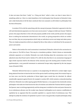It does not mean that there "really" is a "thing out there" called a chair, nor does it mean there is something called an *I*. Here is a total demolition of all of philosophy from Descartes to Nietzsche's time, and a total destruction of all the basic constructs that were assumed as self-evident in philosophy from the time of Descartes.

In section 676 he did the same thing with the concept of purpose. Nietzsche's approach to the free will and determinism argument as we have seen was to answer "a plague on both your houses." Both the person who argues that there is free will and purpose possible in the world, and the person who argues there is nothing but mechanistic determinism in the world, are giving perspectives which are neither true nor false, they are just perspectives which help an individual survive and adapt and attain power. They are simply perspectives which are adapted by this or that culture or individual for the purpose of power and control.

Notice in that section the word unconscious is mentioned; Nietzsche referred to the unconscious in a few places in *The Will to Power*. This may be a translation problem. I think it forms an interminable scholastic argument as to whether Nietzsche was really thinking about the unconscious even in the adjectival sense that Freud used it. Section 676, with the idea that there is an unconscious language of signs which expresses itself in the behavior of the conscious ego is the starting point of modern French psychoanalysis, a very powerful movement in continental Europe today originated by the late Jacques Lacan (Chessick 1980).

Nietzsche believed that man as a species is not progressing. He believed in certain higher types being attained from time to time but the level of the species itself is not being raised. His eventual hope as we have seen was that the production of these higher types would then be inherited. He offered considerable argument against Darwin for example in section 685, which contains a misunderstanding of Darwin. Nietzsche was really arguing against Herbert Spencer, a very popular late nineteenth century philosopher who took over from Darwin the idea of evolution and added the Victorian belief in progress. For Spencer, man is evolving progressively and the strong man is entitled to riches and power because he is an evolutionary advance over the weaker man. Spencer's philosophy was in essence a justification of capitalism by an argument that the successful capitalist is a superior kind of evolutionary man. This attempt to justify the existence of capitalists in power is not a very generally accepted philosophy today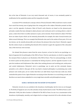but at the time of Nietzsche it was very much discussed and, of course, it was constantly quoted as justification for the capitalistic system and the inequality of wealth.

In section 699 he introduced a concept, which, if Freud (Chessick 1980) would have read it, would have saved him twenty years of going down the wrong path on the subject. Nietzsche pointed out that pain is *not* the opposite of pleasure. Most of Freud's early theories are based on the pleasure-pain principle, namely that man attempts to attain pleasure and avoid pain and in so doing achieve a state of peace, a state where there is neither pleasure or pain, and no tension. Freud realized in about 1920 that there are states of pain which can be intensely pleasurable, for example, the state of sexual tension just before sexual discharge. This is an example that Nietzsche also used in the section of how pain, if it is not too intense, can be actually pleasurable and enhance the pleasure that arises from it. Nietzsche argued that the notion of pain as something that should all be removed is again the argument of the exhausted man, of the tired out, worn out man.

He claimed that pleasure comes from the sense of power, so here he tried to use *psychology* as a basis of argument for hisphilosophy of the Will to Power. First he used physics, in which he argued that the concept of force in physics is an illustration of the Will to Power. Then he used psychology, in which he tried to point out that pleasure is essentially the feeling of power, and the opposite of power is not pain but weakness and helplessness. Man rather than seeking pleasure and avoiding pain, seekspower and avoids helplessness. Nietzsche's twist in psychology was to point out this extremely famous prejudice as he called it, that goes all the way back to classical philosophy in proclaiming man seeks pleasure and avoids pain; yet we realize that there are mild forms of pain that man seeks out, which contradict thispoint of view. Again Nietzsche was trying to show that there is no such thing as truth, and thatthere are moral values embedded in every single basic scientific and philosophical concept.

#### **SCENE 2: NIETZSCHEAND THEHISTORY OF PHILOSOPHY**

<span id="page-8-0"></span>Nietzsche viewed art as an antidote to the decadence of philosophy, but his views on art changed. In *The Birth of Tragedy* he saw art as the salvation of man. By the time he wrote "The Will to Power as Art" (Nietzsche 1968), the title of section 4 of Book III of *The Will to Power*, he saw it as a countermove to the decadence of philosophy, morality, and religion but he no longer conceived of it as the salvation of man.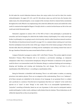He did make the crucial distinction between those who enjoy works of art and his ideal, the creative artist-philosopher. On pages 419, 421, and 451 this phrase comes up, and his hero, the Socrates who makes music, the artist-philosopher, is one example of the overman which he retained fairly consistently throughout his work. What he was emphasizing is the artist who affirms the senses and extolls life in this world. In contrast to that might be Wagner's *Parsifal*, which is a work of art that focuses on life in the next world and which Nietzsche hated.

Nietzsche's argument in section 1041 of *The Will to Power* is that philosophy is permeated by cowardice and lack of integrity. He called this the hidden history of philosophy. If we really want to get further in philosophy we are going to need a lot of severity, what he called cleanliness toward ourselves. The definition of cleanliness toward oneself is on page 541 in a comment about washing one's soul clean from the marketplace dust and the noise of this age. Compare this to the famous passage in Plato where Socrates talks about the philosopher not fitting into the marketplace and seeming remote from noise of this age. Somehow Nietzsche has come around back to Plato in a full circle.

Compare Nietzsche's passages in section 1067, with Plato's *Timaeus*. This section might be termed Nietzsche's *Timaeus*. What Nietzsche did is to introduce a pre-Socratic cosmology, an immanent metaphysics rather than a transcendent metaphysics. Being for Nietzsche is immanent in the apparent world for there is no transcendent world. For Nietzsche, Being is a continual clashing and overcoming, a shaping and breaking, and creating and destroying, flux and change. This is all there is, all a manifestation of the Will to Power—*everything* is a manifestation of this.

Being for Nietzsche is identified with becoming. There is no solid matter in motion, an amazing prescience into modern physics. There are no categories of the understanding. There is no "substance"; all of these concepts are embedded in the structure of our language. In our grammar there is a subject and a predicate in a sentence. From this fact we hypostasize that there are "subjects" in the world who operate on or "cause" or move "things" in the world. This is an unacceptable hypostatization, a "prejudice" according to Nietzsche, based on our use of grammar. In this sense he anticipated modern analytic philosophy. In other words, nothing is really distinct from its relations. These distinctions are all arbitrarily imposed by us, they are perspectives.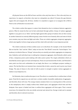*All* physical forces are the Will to Power and this is the only force there is. This is the only force we experience, he argued, so therefore why must we extrapolate any others? It lessens the gap between organic life and inorganic life. All force, whether it is manifest in organic or in inorganic life is Will to Power as far as Nietzsche was concerned.

The relative unities that appear in nature form themselves due to resistance between aggressive powers. What he meant by that can be best understood through politics. Groups of nations aggregate together in any given era as "allies" and they fight against other groups of nations who are their enemy. In another historical era entirely different groups, some of which were formerly allies and some of which were enemies, may now form and fight each other. These are relative aggregates, temporary aggregates, which come together to form a larger group and then clash with each other in any temporary period.

The relative endurance of these entities cause us to reify them. For example, in the Second World War we had the "Axis" and the "Allies"; today we have the "Free World" versus the "Soviet Empire." Our tendency is to think of these as "things" whereas they are actually just relative aggregates at a temporary time. Similarly, each individual man is nothing but a temporary aggregate, what Nietzsche called a piece of fate, a temporary power point clashing with other power points. The rough uniformities which are described by science again are local and temporary. These are just transient bits of order, and Nietzsche's main point was that such uniformities do not imply that there is an intelligent purpose working in nature. The fact that there are transient laws, transient bits of order, cannot be used to prove any Grand Design. The play of chance in the clash of wills to power is enough to explain various aggregates in motion in any temporary era.

For Nietzsche, time is endless but space is not. Thus there is a ceaseless flux in endless time in finite space. From this he argued you can only have a certain number of possible combinations of aggregates . and therefore, these will recur. The energy remains constant; there is no running down of the universe in this metaphysics, there is simply endless time, limited space, and aggregates which form and then dissipate. Since space is limited and time is endless these aggregates will form again. That is eternal recurrence. He claimed this is the one strictly universal and eternal law. Energy is total and is constant and therefore, there is eternal recurrence.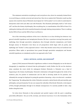This statement contradicts everything he said everywhere else, where he constantly claimed there is no such thing as a strictly universal and eternal law. How do we explain this? Nietzsche would say that anyone who reads the chaos of Nietzsche must impose his "will to system" on it in order to understand it. Interpreters clash with each other and with Nietzsche. This illustrates philosophy itself as "will versus will" and thus the history of philosophy, like everything else, is a manifestation of the Will to Power! It is nothing but clashing wills which manifest themselves through clashing interpretations. There is nothing butthe Will to Power and the Will to Power is all there is.

One of the interesting corollaries of this view is that there is no clear dividing line between very general scientific hypotheses and metaphysical theories. We have a spectrum running from poetry and mythology, then through speculative metaphysics, then through inductive metaphysics, and finally through science. In Nietzsche's view these are all perspectives which begin with art, poetry, and mythology and "harden" as they approach science—when they become science they are hardened into prejudices. When myths or speculations have passed through speculative metaphysics and become scientific hypotheses, we mistakenly say this is an approach to the Truth.

#### <span id="page-11-1"></span>**SCENE 3: NIETZSCHE, JASPERS, AND HEIDEGGER [1](#page-20-0)**

<span id="page-11-0"></span>Jaspers (1966) measured Nietzsche's significance neither in terms of biography nor on the basis of doxography (a compilation of extracts from the philosopher's work). Neither the life nor the doctrines alone constitute the event which for subsequent thinkers Nietzsche is. Nietzsche was a kind of happening in the history of philosophy. Nietzsche's dedication to thought throughout the whole of his existence, plus, his passion to communicate and his skill in devising masks for his passions, and ultimately the courage he displayed in posing the question of meaning—why or to what end—constitute this "happening." By asking about the whole, Nietzsche executed a radical break with past morality, past philosophy, and past humanity. No one can surpass the radicality of that break. Nietzsche, wrote Jaspers (1966), thought philosophy through to its ultimate consequences. It is scarcely possible to take a step farther along that route.

Yet what drove Nietzsche to that protracted and painful rupture with the past is something powerfully affirmative—the yes to life, overman, and eternal recurrence. It is in the formulation of the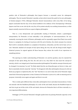positive side of Nietzsche's philosophy that Jaspers foresaw a successful career for subsequent philosophy. Thus he lauded Nietzsche's morality as that which cleared the path for his own philosophy of *Existenz* (Jaspers 1954). Although Nietzsche denied transcendence with every fiber of his being, Jaspers concluded that the fury of his denial testified to his embrace of the *Encompassing* I Obviously Jaspers read him as one who by the very fury of his protest actually was seeking transcendence, so that Jaspers actually conceived of him as a quasi-religious philosopher.

That is a very idiosyncratic and questionable reading of Nietzsche, almost a psychological interpretation, for Nietzsche at least ostensibly is *the* philosopher of anti-transcendence. He was constantly reversing the trend of Western philosophy and he repeatedly argued that Plato's two-world theory is a symptom of a feeling of weariness with life and of decline; the whole concept of an eternal Real world is constantly attacked as a symptom of decadence, exhaustion, and the end of man as he is now. Nietzsche attacked all concepts of God, Spirit, Being, the One, the self, the thing-in-itself, Hegel's historical process; he argued against all these because they reduce the world of our experience to something inferior.

The opening to a better understanding of Nietzsche is to ask the question, since he rejected the concepts of God, Spirit, Being, the One, the self, and so on, why didn't he also reject the concept of eternity, which is an integral part of most transcendent philosophies? He took the concept of eternity and he changed it to meaning "no end." He flatly stated that the one thing that goes on forever is time, and that is essentially what he meant by "eternity." He disagreed with other philosophers because he did not think any progress is implied by this; the "fact" that there is no end to time did not for Nietzsche imply some kind of forward progression in time. Existence for Nietzsche is just as it is, with no meaning and no purpose; it eternally recurs again and again and there is no end.

This is really quite different than what other philosophers have said about transcendence. It does not coincide with the Buddhist philosophy of a circle of life and death, because the Buddhist hopes to and tries to get out of this circle of life and death, whereas for Nietzsche that is all there eternally is, a very important differentiation.

Heidegger (1979) turned Nietzsche's thought upside-down by placing Nietzsche squarely in the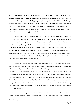western metaphysical tradition. He argued that first of all the crucial question of Philosophy is the question of Being, and he asked, does Nietzsche say anything about the nature of Being—about the character of all things—or, to use Heidegger's phrase, the Being of beings? For Nietzsche, the Being of beings is the Will to Power, so the essence, or what the world is— the answer to the question, what is Being?, is for Nietzsche the Will to Power. This, according to Heidegger, is the key question of all philosophies, the question that philosophers have asked since the beginning of philosophy, and he criticized Jaspers for not realizing just how significantthis is.

For Nietzsche the essence of the world was the Will to Power. The existence of the world, the how or the that of the world, was the eternal recurrence of the same. All classical metaphysical philosophers have to answer these two questions—what is the essence of the world and what is the existence of the world? According to Heidegger, Nietzsche was squarely in this tradition. He gave a theory of the essence of. the world which he said is the Will to Power and of the existence of the world, the way the world works, which for Nietzsche is the eternal recurrence of the same. This eternal recurrence concept is an attempt to interpret everything that happens. It is an enigmatic and unfathomable concept, but it is at the center and at the peak of Nietzsche's philosophizing; it is brought forth at the end of his most famous work *Thus Spoke Zarathustra* as his greatestfinding.

What is Being? is the fundamental question of philosophy. According to Heidegger, Nietzsche was a transition figure between the modern age from 1600 to 1900 and its completion from 1900 to the future. What we mean by the completion of metaphysics for Heidegger would be reaching some kind of understanding of the unbounded nature of Being. According to Heidegger, in *The Will to Power* metaphysical thinking completes itself and this makes Nietzsche the last great metaphysician of the West. Nietzsche's metaphysics is the ground of the twentieth century. His tremendous nihilism, the Will to Power, the eternal recurrence, manifest themselves most predominantly in the horrible recurring struggles--the blood and slaughter that occurred in the unprecedented wars of the twentieth century. What is not known is what will come next. Will there be destruction of the world or will a new man arise as Nietzsche is hoping?

Heidegger's important point was to think of Nietzsche as the completion of a phase which began with the modern age, with Descartes' emergence from medieval philosophy. What happens as you read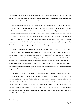Nietzsche more carefully, according to Heidegger, is that you get into the concept of "life" that he keeps bringing up—a very mysterious and poorly defined concept for Nietzsche. For instance in *The Gay Science* he writes. "life should be an experiment of knowers."

On the other hand, Heidegger very much objected to the tendency on the part of Jaspers to call the eternal recurrence a religious notion. He claimed this distorts Nietzsche's philosophy and he tried to distinguish between a religious position and a metaphysical position. A metaphysical position talks about Being, talks about the "is-ness of that which is," talks about existence, but it does not introduce a concept of God except as an abstraction. The concept of a God to whom we could pray or anything like that is outside of the metaphysical system. So religion may start from metaphysics and go past it, may use metaphysics as a springboard, but it has to be differentiated. Heidegger argued, and I agree, that Nietzsche's position is primarily a metaphysical one and not a religious one.

There are more questions to ask on this topic. For instance, what does Nietzsche mean by "will"? Sometimes he talked about it as a passion or a feeling, and sometimes he made it circular because passion and feeling are claimed to be manifestations of will. In *Beyond Good and Evil*, Book VII, section 28, he said it is very "complicated." There he was writing against Schopenhauer, who conceived of the Will as an abstract "simple" metaphysical concept.. Nietzsche did say that willing is only the will topower—it is an emotional concept not an intellectual concept, and it is a biological concept. In *The Will to Power* (section 702) he defined power as the wish to become stronger, and the original emotion or affect for Nietzsche is the pleasurable feeling that you get when you become stronger.

Heidegger focused on section 797 in *The Will to Power*. Here Nietzsche extolled the artist, not art. He called the person who extolls art a person indulging in what he calls "women's aesthetics." He was not interested in the question of what is beauty or what makes a painting beautiful. What he was interested in is the artist, the way of life. The creation of art for Nietzsche is thought of as a masculine activity. Creativity is masculine in contrast to the degenerate "women's" aesthetic philosophies—like Kant who he was really writing against. The reason he focused so much on creativity is because creativity and the making of art emphasize the sensuous world, the world of appearance, in contrast to the intelligible Platonic world.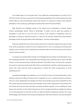So he talked about "art in the grand style," that extolled the artist-philosopher (in section 795 of *The Will to Power*). He had a concept of the artistproducing something in the world of appearances that directly affects us, and of that being the artist's main interest—in contrast, for example, to the academic philosopher who is producing a philosophical system of the world of Truth and Reality.

Both Nietzsche and Heidegger agreed on the urgent need of philosophy to advance beyond classical epistemology, beyond "theory of knowledge," to inquire into the goals and purposes of philosophy as such, that is to say, the need to advance in the direction of metaphysics. They saw philosophy as having an important function as a value for life, and they studied the tension between philosophy and the living personality of the philosopher—the drive to philosophize.

Nietzsche extolled the frenzy of the inspired artist and he invidiously compared the inspired artist to the dried up laboratory scientist. For him art stimulates life; he saw it as healing and refreshing and urging to renew creations, and he compared this invidiously with the search for security and the bliss of eternal Truth and so forth.

In summary, the question What is Being? is for Heidegger the key question of all philosophy. For us life, according to Nietzsche, is the most familiar form of Being and the innermost essence of life is the Will to Power. So the innermost essence of Being for Nietzsche is the Will to Power. The life of the artist gives the most clear and present mode of the Will to Power, what Nietzsche called the artist phenomenon, the person who creates from the world of appearances, to master the world of appearances, to create something out of it.

According to Heidegger the meditation on art in *The Will to Power* is the best illumination of what Nietzsche meant by the Being of beings, and his recognition of art as a countermovement to nihilism is what very much distinguished his thought from Plato. Plato banished poets from his Republic for this very reason, that poets tended to fix the mind of people on the world of appearance; Plato wanted to fix their minds on the eternal world. Nietzsche was doing exactly the opposite—he was extolling the artist, because the artist fixes on the world of appearances. It just so happens that these metaphysical systems are in direct opposition to each other but they are both nevertheless metaphysical systems. The reason that Heidegger said Nietzsche is the last great metaphysician of the West is because with a grounding like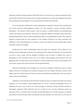Nietzsche's nihilism and the explosion of the Will to Power we come now to a radical turning pointin the history of the world. We do not know what will come next but there is noplace for metaphysics to go after this according to these philosophers; one cannot get more nihilistic than Nietzsche.

It was characteristic of Nietzsche's work to philosophize negatively, to break with everything that was met by universal acknowledgment whether it be God, morality, or reason. Teaching academic philosophy— the systems of other people—does not require a youthful attitude, but philosophizing requires this attitude, said Nietzsche. Hence the very important difference Nietzsche made many times, distinguishing between what he called philosophical laborers and philosophers proper. The passion of longing to proceed from the inner grandeur of the intuition of Being to its actual realization and fulfillment—that is philosophizing, in contrast to a person who makes his living teaching other people what other people have thought.

Usually these two kinds of philosophers don't get along. Yet, Copleston (1975), famous for his teaching of other philosophers, offered a fine starting point for criticism of Nietzsche. He conceded that we have to come to grips with the thought of Nietzsche and rise above it. Nobody who wants to philosophize in the twentieth century can do so without acknowledging what Nietzsche said and grappling with it in some sense. He saw Nietzsche as a lonely solitary soul who lived in the depths of his own visions; anyone who reads *Ecce Homo* will also getthatfeeling.

Nietzsche's philosophy can be thought of as an answer to Wagner's *Parsifal*, the opera in which Wagner returned to Christianity and salvation through Christ and religion. Nietzsche's answer is that Wagner sold out to make money, and that man must save himself by the glorification of his own species, not by recourse to Christianity.

Copleston (1975) pointed out that Nietzsche lacked the power of sustained scientific and rational argument; so he was neither a great metaphysician nor was he a scientific psychologist. There is no debating with such a view since we do not find passages in Nietzsche of long sustained scientific or philosophic arguments. What Nietzsche did was to state his case and then fulminate against his opponents. There is a definite lack of reasoned careful philosophical or scientific arguments. Copleston also pointed out that Nietzsche made innumerable historical mistakes and inaccuracies, so one must not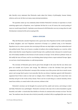take literally every statement that Nietzsche made about the history of philosophy, human history, cultures, and so on, for there are many, many misrepresentations.

The question comes up very commonly about whether Nietzsche's overman or superman is a hard unfeeling egoist such as Napoleon; even Copleston felt that he is not. Of course, the crucial parting of ways we would expect from Fr. Copleston occurs because he felt Nietzsche was very wrong when he said Christianity is inimical to life and no-saying to life.

#### **SCENE 4: CRITICISM**

<span id="page-17-0"></span>Why did Nietzsche consider Napoleon to be a great man when Napoleon led the world repeatedly to blood, slaughter, and war? Napoleon conceived of Europe as a political unity, so for Nietzsche Napoleon was in a sense a person who was trying to lift man one step higher away from nationalism and into political unity. There are of course a number of authors who worship Napoleon as a warrior, while others claim that the reason Napoleon wanted Europe to be a political unity is because he wanted toput one of his family members on the thrones of each country in Europe. Yet he *did* have political vision, he did codify the laws of France, and he was thinking about trying to form a super-national Europe. Again, we can have a hard interpretation or a softinterpretation.

The overman of Nietzsche gives, but he gives from strength in the sense that the sun shines and gives out warmth out of power and energy. The difference is that the Christian hero gives from compassion and pity, but Nietzsche's concept of the overman was of the person who has so much excess power and energy that he gives it out naturally, like the sun shines. Copleston agreed with Nietzsche's argument that if there exists no God and no religion, then it follows the strong will create their own morality and give to the weak as they choose. There can be no such thing as a natural morality, divine moral laws within, or a moral order in the universe, without a God.

Nietzsche's overman can be thought of as proud and free, joyful and serene, and strong in mind and body. Nietzsche was a philologist—Nietzsche's overman is the man who is *κάλοs* translated as good, beautiful, and noble—a Greek ideal like Achilles or Pericles. In contrast to the overman we have "the last man," the mediocre man, the man who is *δειλόs* (cowardly, wretched,idle) or μοχϴηρόs (the man in sorry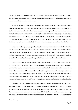plight or the villainous man). Greek is a very descriptive, poetic, and beautiful language and these are the Greek terms Copleston believed Nietzsche the philologist had in mind when he was juxtaposing the overman to the last man or the mediocre man.

Copleston claimed (without giving any reasons) that Nietzsche's concept of the will to power is a great improvement over Freud! We do both agree that the crucial error of Nietzsche was in his denial of the fundamental value of humility. The concept that no human being should ever be made a mere means for another human being is not only in Christianity but becomes a form of Kant's categorical imperative. Nietzsche's overman uses the herd, creates his own morality, and apparently does so without any sense of compassion or pity. Nietzsche's words are a challenge to Christians, what Copleston called "a prick to the Christian conscience," especially the Christian conscience thattends to water down Christ's ideals.

Nietzsche and Schopenhauer agreed on their fundamental despair, they agreed that death is the seal of meaninglessness, they denied the transcendental, they were atheistic, they believed that the universe is fundamentally irrational — in contrast to Hegel—and they believed in the subordination of intellect to will. Nietzsche's eternal recurrence is a fatalistic doctrine and, philosophically speaking, contradicts the possibility of change and the possibility of an overman, as Copleston pointed out.

Nietzsche's man can be thought of not as overman but as "only-man," only a man, without God, who is condemned to death and the abyss of meaninglessness. How, asked Copleston, in this situation can only-man be spurred to create values, culture, and civilization? What is the point, if it is all so meaningless? He concluded that the way of Nietzsche is the way of madness. If there is no ground and no meaning, what is the sense to any appeal for overman? Furthermore, the notion of overman already presumes a fixed system of higher and lower values—one could not talk about an overman if one did not have an implicit notion of "over" and "under"; this again is a logical contradiction in Nietzsche's thought.

In his discussion of Nietzsche, Scharfstein (1980) considered Nietzsche's loss of his father at the age of 5 as decisive for his philosophy and his life. He considered his simultaneous longing for his father and his rejection of him as being very important and therefore the attack on his father's values— his father was a strict Lutheran minister—according to Scharfstein "was an irrational attempt to revenge himself and simultaneously to overcome his suffering and presentiment of death." This is an amateur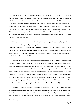psychological effort to explain all of Nietzsche's philosophy on the basis of an attempt to deal with his father problem. Such interpretations, I think, have very little scientific validity and tend to degenerate into simplistic generalizations, especially in such a complicated person as Nietzsche. Others, for example, in the same vein have interpreted *Zarathustra* as an expression of loneliness following his break with Lou Salome. Many authors have interpreted the will to power concept as a projection of Nietzsche's persistent infirmities, as his way of trying to overcome his own weaknesses, physical ailments, loneliness and failure. Others have interpreted *Ecce Homo* and *The Antichrist* as a declaration of Nietzsche's madness, and probably correctly have explained his frequent disparaging remarks about women as being due to his woman-dominated childhood.

Nietzsche anticipated many of Freud's notions; he was a very great intuitive psychologist. However, he never worked out his psychology into anything useful. He just threw out numerous sparks but never developed any kind of a program for using hispsychology in understanding people or healing people as Freud did. Freud recognized his greatness and considered him to be the greatest intuitive psychologist who ever lived next only to Shakespeare, but Nietzsche provides very little of practical clinical use—a matter that would be irrelevant to Nietzsche.

There are at least three very great errors that Nietzsche made, in my view. First, it is a tremendous mistake to think that instinct has to be protected from reason and morality. Actually the problem is the other way around. Reason and morality have a very weak suppressing force on instinct. The true problem is that the thin veneer of civilization is what needs protection from instinct! Instinct is tremendously powerful and always threatens to destroy the veneer of civilization. The same is true with democracy, so despised by Nietzsche. Democracy does not have an inimical effect on man's development and instinct; democracy is always in danger of being destroyed and over-run by tyrannies, by right wings and left wings, by explosions of mob violence, and so on. The preservation of democracy has always been an extremely difficult task, especially in troubled times such as today (Chessick 1969).

The second great error I believe Nietzsche made is to see life (or spirit) and morals as opposed to each other. This is a philosophical blunder because it rests on an unclear use of the term "morals." When Nietzsche wrote about morality he was talking about the hypocritical Sunday morning sermon type of morality, and it is no great advance in philosophy to discover that kind of Victorian morality to be trivial.